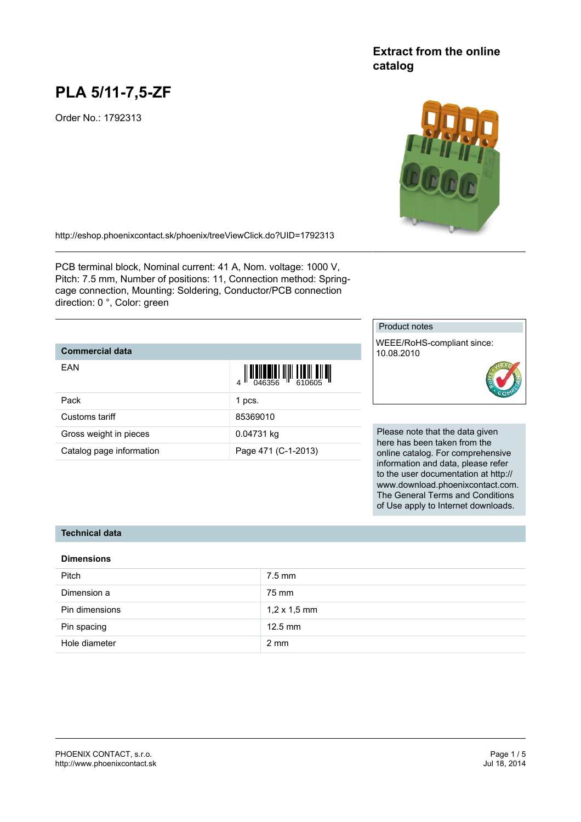# **PLA 5/11-7,5-ZF**

Order No.: 1792313

## **Extract from the online catalog**



<http://eshop.phoenixcontact.sk/phoenix/treeViewClick.do?UID=1792313>

PCB terminal block, Nominal current: 41 A, Nom. voltage: 1000 V, Pitch: 7.5 mm, Number of positions: 11, Connection method: Springcage connection, Mounting: Soldering, Conductor/PCB connection direction: 0 °, Color: green

### **Commercial data**

| EAN                      |                     |
|--------------------------|---------------------|
| Pack                     | 1 pcs.              |
| Customs tariff           | 85369010            |
| Gross weight in pieces   | 0.04731 kg          |
| Catalog page information | Page 471 (C-1-2013) |

#### Product notes

WEEE/RoHS-compliant since: 10.08.2010



Please note that the data given here has been taken from the online catalog. For comprehensive information and data, please refer to the user documentation at http:// www.download.phoenixcontact.com. The General Terms and Conditions of Use apply to Internet downloads.

#### **Technical data**

#### **Dimensions**

| <b>Pitch</b>   | $7.5$ mm            |
|----------------|---------------------|
| Dimension a    | 75 mm               |
| Pin dimensions | $1,2 \times 1,5$ mm |
| Pin spacing    | $12.5$ mm           |
| Hole diameter  | $2 \text{ mm}$      |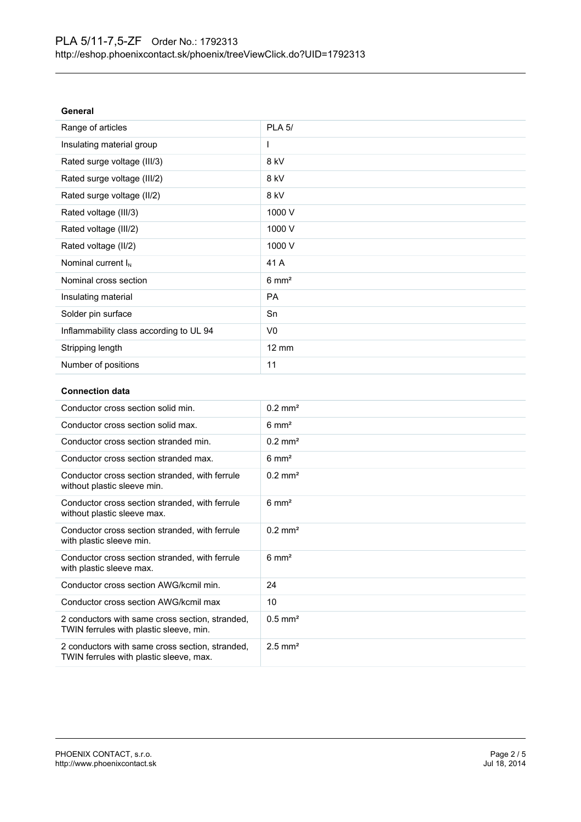| lenera |
|--------|
|--------|

| Range of articles                       | <b>PLA 5/</b>    |
|-----------------------------------------|------------------|
| Insulating material group               | I.               |
| Rated surge voltage (III/3)             | 8 kV             |
| Rated surge voltage (III/2)             | 8 kV             |
| Rated surge voltage (II/2)              | 8 kV             |
| Rated voltage (III/3)                   | 1000 V           |
| Rated voltage (III/2)                   | 1000 V           |
| Rated voltage (II/2)                    | 1000 V           |
| Nominal current $I_N$                   | 41 A             |
| Nominal cross section                   | $6 \text{ mm}^2$ |
| Insulating material                     | <b>PA</b>        |
| Solder pin surface                      | Sn               |
| Inflammability class according to UL 94 | V <sub>0</sub>   |
| Stripping length                        | $12 \text{ mm}$  |
| Number of positions                     | 11               |

#### **Connection data**

| Conductor cross section solid min.                                                         | $0.2$ mm <sup>2</sup> |
|--------------------------------------------------------------------------------------------|-----------------------|
| Conductor cross section solid max.                                                         | $6 \text{ mm}^2$      |
| Conductor cross section stranded min.                                                      | $0.2$ mm <sup>2</sup> |
| Conductor cross section stranded max.                                                      | $6 \text{ mm}^2$      |
| Conductor cross section stranded, with ferrule<br>without plastic sleeve min.              | $0.2$ mm <sup>2</sup> |
| Conductor cross section stranded, with ferrule<br>without plastic sleeve max.              | $6 \text{ mm}^2$      |
| Conductor cross section stranded, with ferrule<br>with plastic sleeve min.                 | $0.2$ mm <sup>2</sup> |
| Conductor cross section stranded, with ferrule<br>with plastic sleeve max.                 | $6 \text{ mm}^2$      |
| Conductor cross section AWG/kcmil min.                                                     | 24                    |
| Conductor cross section AWG/kcmil max                                                      | 10                    |
| 2 conductors with same cross section, stranded,<br>TWIN ferrules with plastic sleeve, min. | $0.5$ mm <sup>2</sup> |
| 2 conductors with same cross section, stranded,<br>TWIN ferrules with plastic sleeve, max. | $2.5$ mm <sup>2</sup> |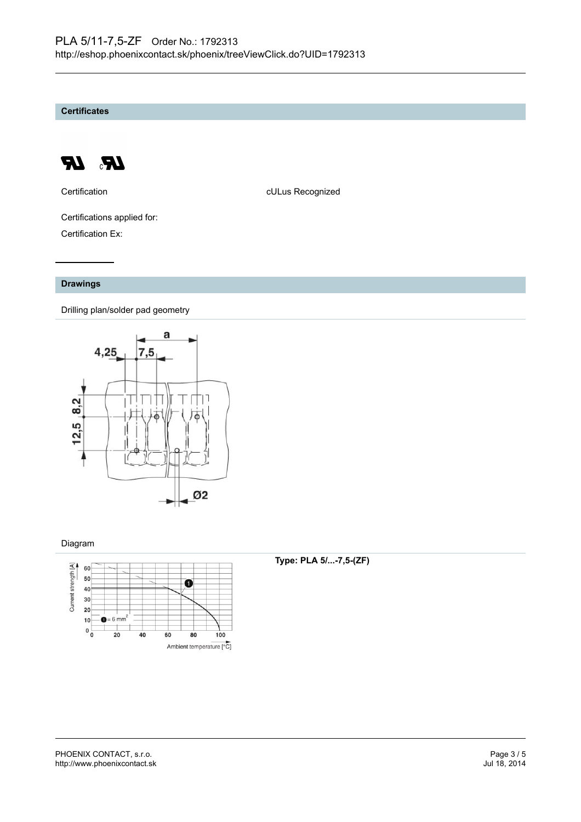**Certificates**



Certification **CERTIFICATE CULUS** Recognized

Certifications applied for: Certification Ex:

#### **Drawings**

Drilling plan/solder pad geometry



#### Diagram



#### **Type: PLA 5/...-7,5-(ZF)**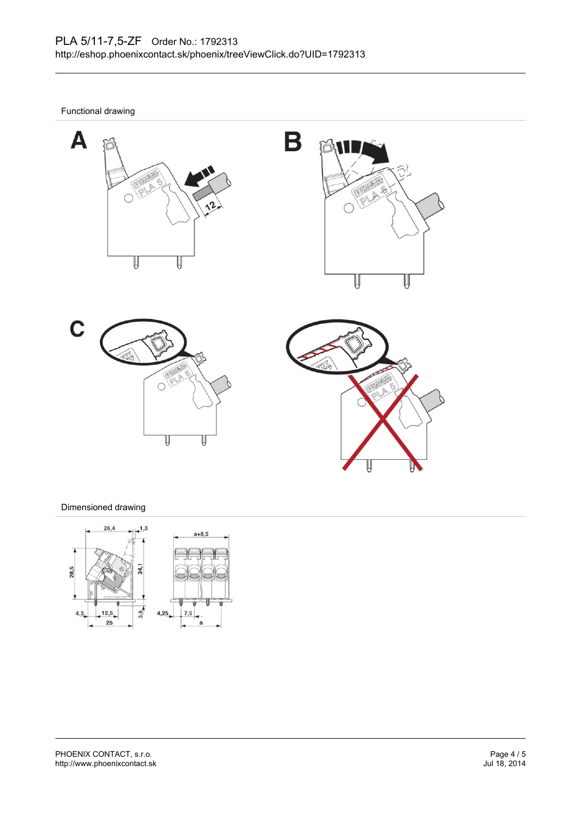Functional drawing









#### Dimensioned drawing